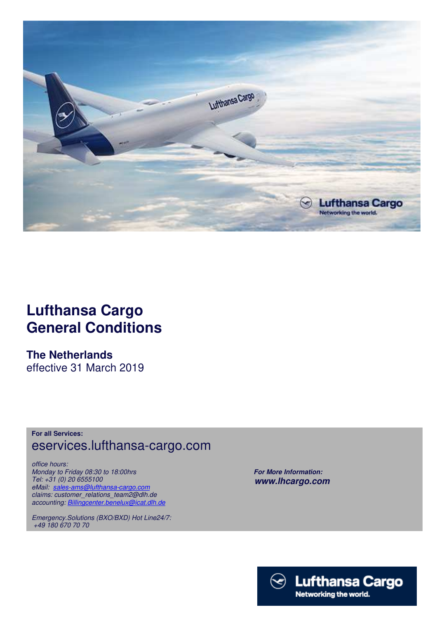

## **Lufthansa Cargo General Conditions**

**The Netherlands**  effective 31 March 2019

## **For all Services:** eservices.lufthansa-cargo.com

*office hours: Monday to Friday 08:30 to 18:00hrs Tel: +31 (0) 20 6555100 eMail: sales-ams@lufthansa-cargo.com claims: customer\_relations\_team2@dlh.de accounting: Billingcenter.benelux@icat.dlh.de*

*Emergency.Solutions (BXO/BXD) Hot Line24/7: +49 180 670 70 70*

 *For More Information: www.lhcargo.com* 

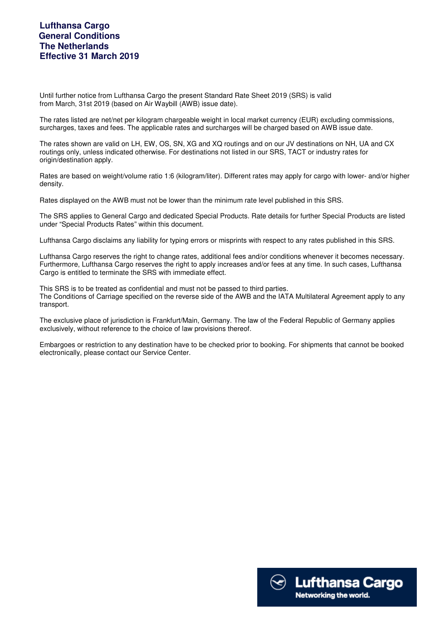Until further notice from Lufthansa Cargo the present Standard Rate Sheet 2019 (SRS) is valid from March, 31st 2019 (based on Air Waybill (AWB) issue date).

The rates listed are net/net per kilogram chargeable weight in local market currency (EUR) excluding commissions, surcharges, taxes and fees. The applicable rates and surcharges will be charged based on AWB issue date.

The rates shown are valid on LH, EW, OS, SN, XG and XQ routings and on our JV destinations on NH, UA and CX routings only, unless indicated otherwise. For destinations not listed in our SRS, TACT or industry rates for origin/destination apply.

Rates are based on weight/volume ratio 1:6 (kilogram/liter). Different rates may apply for cargo with lower- and/or higher density.

Rates displayed on the AWB must not be lower than the minimum rate level published in this SRS.

The SRS applies to General Cargo and dedicated Special Products. Rate details for further Special Products are listed under "Special Products Rates" within this document.

Lufthansa Cargo disclaims any liability for typing errors or misprints with respect to any rates published in this SRS.

Lufthansa Cargo reserves the right to change rates, additional fees and/or conditions whenever it becomes necessary. Furthermore, Lufthansa Cargo reserves the right to apply increases and/or fees at any time. In such cases, Lufthansa Cargo is entitled to terminate the SRS with immediate effect.

This SRS is to be treated as confidential and must not be passed to third parties. The Conditions of Carriage specified on the reverse side of the AWB and the IATA Multilateral Agreement apply to any transport.

The exclusive place of jurisdiction is Frankfurt/Main, Germany. The law of the Federal Republic of Germany applies exclusively, without reference to the choice of law provisions thereof.

Embargoes or restriction to any destination have to be checked prior to booking. For shipments that cannot be booked electronically, please contact our Service Center.

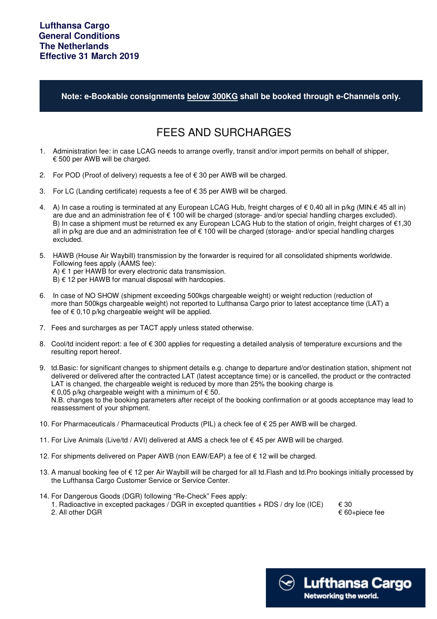**Note: e-Bookable consignments below 300KG shall be booked through e-Channels only.**

## FEES AND SURCHARGES

- 1. Administration fee: in case LCAG needs to arrange overfly, transit and/or import permits on behalf of shipper, € 500 per AWB will be charged.
- 2. For POD (Proof of delivery) requests a fee of € 30 per AWB will be charged.
- 3. For LC (Landing certificate) requests a fee of € 35 per AWB will be charged.
- 4. A) In case a routing is terminated at any European LCAG Hub, freight charges of € 0,40 all in p/kg (MIN.€ 45 all in) are due and an administration fee of € 100 will be charged (storage- and/or special handling charges excluded). B) In case a shipment must be returned ex any European LCAG Hub to the station of origin, freight charges of €1,30 all in p/kg are due and an administration fee of € 100 will be charged (storage- and/or special handling charges excluded.
- 5. HAWB (House Air Waybill) transmission by the forwarder is required for all consolidated shipments worldwide. Following fees apply (AAMS fee): A) € 1 per HAWB for every electronic data transmission.
	- $B$ )  $\in$  12 per HAWB for manual disposal with hardcopies.
- 6. In case of NO SHOW (shipment exceeding 500kgs chargeable weight) or weight reduction (reduction of more than 500kgs chargeable weight) not reported to Lufthansa Cargo prior to latest acceptance time (LAT) a fee of  $\epsilon$  0,10 p/kg chargeable weight will be applied.
- 7. Fees and surcharges as per TACT apply unless stated otherwise.
- 8. Cool/td incident report: a fee of  $\epsilon$  300 applies for requesting a detailed analysis of temperature excursions and the resulting report hereof.
- 9. td.Basic: for significant changes to shipment details e.g. change to departure and/or destination station, shipment not delivered or delivered after the contracted LAT (latest acceptance time) or is cancelled, the product or the contracted LAT is changed, the chargeable weight is reduced by more than 25% the booking charge is € 0.05 p/kg chargeable weight with a minimum of  $\epsilon$  50.

 N.B. changes to the booking parameters after receipt of the booking confirmation or at goods acceptance may lead to reassessment of your shipment.

- 10. For Pharmaceuticals / Pharmaceutical Products (PIL) a check fee of € 25 per AWB will be charged.
- 11. For Live Animals (Live/td / AVI) delivered at AMS a check fee of € 45 per AWB will be charged.
- 12. For shipments delivered on Paper AWB (non EAW/EAP) a fee of € 12 will be charged.
- 13. A manual booking fee of € 12 per Air Waybill will be charged for all td.Flash and td.Pro bookings initially processed by the Lufthansa Cargo Customer Service or Service Center.
- 14. For Dangerous Goods (DGR) following "Re-Check" Fees apply:
	- 1. Radioactive in excepted packages / DGR in excepted quantities + RDS / dry Ice (ICE)  $\epsilon$  30<br>2. All other DGR  $\epsilon$  60+piece fee 2. All other DGR